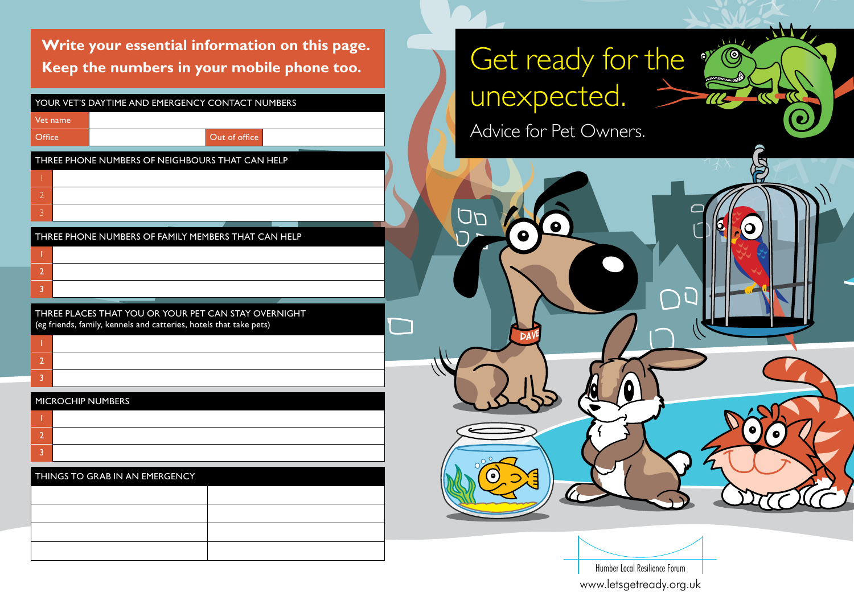**Write your essential information on this page. Keep the numbers in your mobile phone too.**

|                                                                                                                            | YOUR VET'S DAYTIME AND EMERGENCY CONTACT NUMBERS |               |  |  |  |
|----------------------------------------------------------------------------------------------------------------------------|--------------------------------------------------|---------------|--|--|--|
|                                                                                                                            | Vet name                                         |               |  |  |  |
| Office                                                                                                                     |                                                  | Out of office |  |  |  |
| THREE PHONE NUMBERS OF NEIGHBOURS THAT CAN HELP                                                                            |                                                  |               |  |  |  |
|                                                                                                                            |                                                  |               |  |  |  |
| $\overline{2}$                                                                                                             |                                                  |               |  |  |  |
| 3                                                                                                                          |                                                  |               |  |  |  |
| THREE PHONE NUMBERS OF FAMILY MEMBERS THAT CAN HELP                                                                        |                                                  |               |  |  |  |
|                                                                                                                            |                                                  |               |  |  |  |
| $\overline{2}$                                                                                                             |                                                  |               |  |  |  |
| 3                                                                                                                          |                                                  |               |  |  |  |
| THREE PLACES THAT YOU OR YOUR PET CAN STAY OVERNIGHT<br>(eg friends, family, kennels and catteries, hotels that take pets) |                                                  |               |  |  |  |
|                                                                                                                            |                                                  |               |  |  |  |
| $\overline{2}$                                                                                                             |                                                  |               |  |  |  |
| 3                                                                                                                          |                                                  |               |  |  |  |

#### MICROCHIP NUMBERS

| THINGS TO GRAB IN AN EMERGENCY |  |  |  |  |  |
|--------------------------------|--|--|--|--|--|
|                                |  |  |  |  |  |
|                                |  |  |  |  |  |
|                                |  |  |  |  |  |
|                                |  |  |  |  |  |

# Get ready for the  $\sqrt[\alpha]{\mathbb{C}}$ unexpected.

(Q

Advice for Pet Owners.

Dave

םם